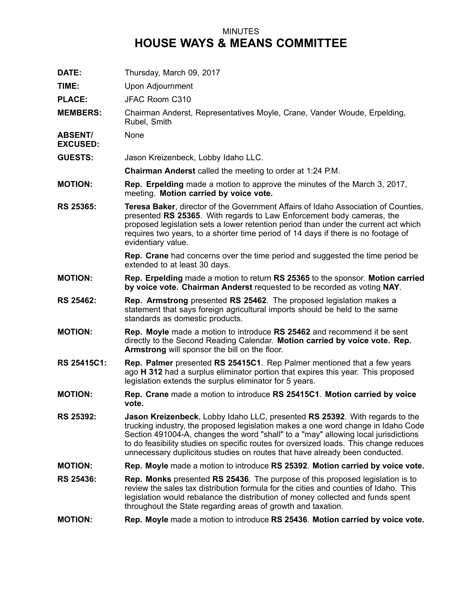## MINUTES **HOUSE WAYS & MEANS COMMITTEE**

| DATE:                             | Thursday, March 09, 2017                                                                                                                                                                                                                                                                                                                                                                                                       |
|-----------------------------------|--------------------------------------------------------------------------------------------------------------------------------------------------------------------------------------------------------------------------------------------------------------------------------------------------------------------------------------------------------------------------------------------------------------------------------|
| TIME:                             | <b>Upon Adjournment</b>                                                                                                                                                                                                                                                                                                                                                                                                        |
| <b>PLACE:</b>                     | JFAC Room C310                                                                                                                                                                                                                                                                                                                                                                                                                 |
| <b>MEMBERS:</b>                   | Chairman Anderst, Representatives Moyle, Crane, Vander Woude, Erpelding,<br>Rubel, Smith                                                                                                                                                                                                                                                                                                                                       |
| <b>ABSENT/</b><br><b>EXCUSED:</b> | None                                                                                                                                                                                                                                                                                                                                                                                                                           |
| <b>GUESTS:</b>                    | Jason Kreizenbeck, Lobby Idaho LLC.                                                                                                                                                                                                                                                                                                                                                                                            |
|                                   | Chairman Anderst called the meeting to order at 1:24 P.M.                                                                                                                                                                                                                                                                                                                                                                      |
| <b>MOTION:</b>                    | <b>Rep. Erpelding</b> made a motion to approve the minutes of the March 3, 2017,<br>meeting. Motion carried by voice vote.                                                                                                                                                                                                                                                                                                     |
| <b>RS 25365:</b>                  | <b>Teresa Baker, director of the Government Affairs of Idaho Association of Counties,</b><br>presented RS 25365. With regards to Law Enforcement body cameras, the<br>proposed legislation sets a lower retention period than under the current act which<br>requires two years, to a shorter time period of 14 days if there is no footage of<br>evidentiary value.                                                           |
|                                   | Rep. Crane had concerns over the time period and suggested the time period be<br>extended to at least 30 days.                                                                                                                                                                                                                                                                                                                 |
| <b>MOTION:</b>                    | Rep. Erpelding made a motion to return RS 25365 to the sponsor. Motion carried<br>by voice vote. Chairman Anderst requested to be recorded as voting NAY.                                                                                                                                                                                                                                                                      |
| <b>RS 25462:</b>                  | <b>Rep. Armstrong</b> presented RS 25462. The proposed legislation makes a<br>statement that says foreign agricultural imports should be held to the same<br>standards as domestic products.                                                                                                                                                                                                                                   |
| <b>MOTION:</b>                    | Rep. Moyle made a motion to introduce RS 25462 and recommend it be sent<br>directly to the Second Reading Calendar. Motion carried by voice vote. Rep.<br>Armstrong will sponsor the bill on the floor.                                                                                                                                                                                                                        |
| RS 25415C1:                       | Rep. Palmer presented RS 25415C1. Rep Palmer mentioned that a few years<br>ago H 312 had a surplus eliminator portion that expires this year. This proposed<br>legislation extends the surplus eliminator for 5 years.                                                                                                                                                                                                         |
| <b>MOTION:</b>                    | Rep. Crane made a motion to introduce RS 25415C1. Motion carried by voice<br>vote.                                                                                                                                                                                                                                                                                                                                             |
| <b>RS 25392:</b>                  | Jason Kreizenbeck, Lobby Idaho LLC, presented RS 25392. With regards to the<br>trucking industry, the proposed legislation makes a one word change in Idaho Code<br>Section 491004-A, changes the word "shall" to a "may" allowing local jurisdictions<br>to do feasibility studies on specific routes for oversized loads. This change reduces<br>unnecessary duplicitous studies on routes that have already been conducted. |
| <b>MOTION:</b>                    | Rep. Moyle made a motion to introduce RS 25392. Motion carried by voice vote.                                                                                                                                                                                                                                                                                                                                                  |
| <b>RS 25436:</b>                  | <b>Rep. Monks</b> presented RS 25436. The purpose of this proposed legislation is to<br>review the sales tax distribution formula for the cities and counties of Idaho. This<br>legislation would rebalance the distribution of money collected and funds spent<br>throughout the State regarding areas of growth and taxation.                                                                                                |
| <b>MOTION:</b>                    | Rep. Moyle made a motion to introduce RS 25436. Motion carried by voice vote.                                                                                                                                                                                                                                                                                                                                                  |